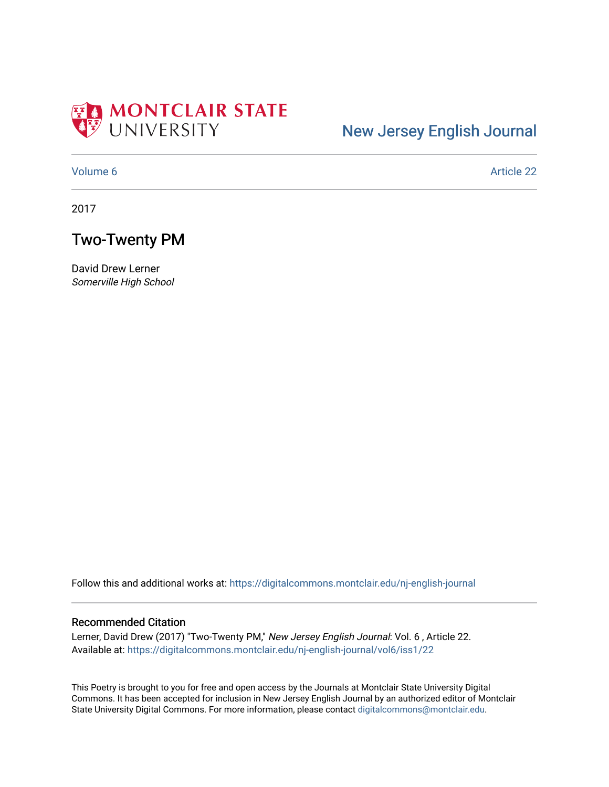

## [New Jersey English Journal](https://digitalcommons.montclair.edu/nj-english-journal)

[Volume 6](https://digitalcommons.montclair.edu/nj-english-journal/vol6) Article 22

2017

### Two-Twenty PM

David Drew Lerner Somerville High School

Follow this and additional works at: [https://digitalcommons.montclair.edu/nj-english-journal](https://digitalcommons.montclair.edu/nj-english-journal?utm_source=digitalcommons.montclair.edu%2Fnj-english-journal%2Fvol6%2Fiss1%2F22&utm_medium=PDF&utm_campaign=PDFCoverPages)

#### Recommended Citation

Lerner, David Drew (2017) "Two-Twenty PM," New Jersey English Journal: Vol. 6, Article 22. Available at: [https://digitalcommons.montclair.edu/nj-english-journal/vol6/iss1/22](https://digitalcommons.montclair.edu/nj-english-journal/vol6/iss1/22?utm_source=digitalcommons.montclair.edu%2Fnj-english-journal%2Fvol6%2Fiss1%2F22&utm_medium=PDF&utm_campaign=PDFCoverPages)

This Poetry is brought to you for free and open access by the Journals at Montclair State University Digital Commons. It has been accepted for inclusion in New Jersey English Journal by an authorized editor of Montclair State University Digital Commons. For more information, please contact [digitalcommons@montclair.edu](mailto:digitalcommons@montclair.edu).